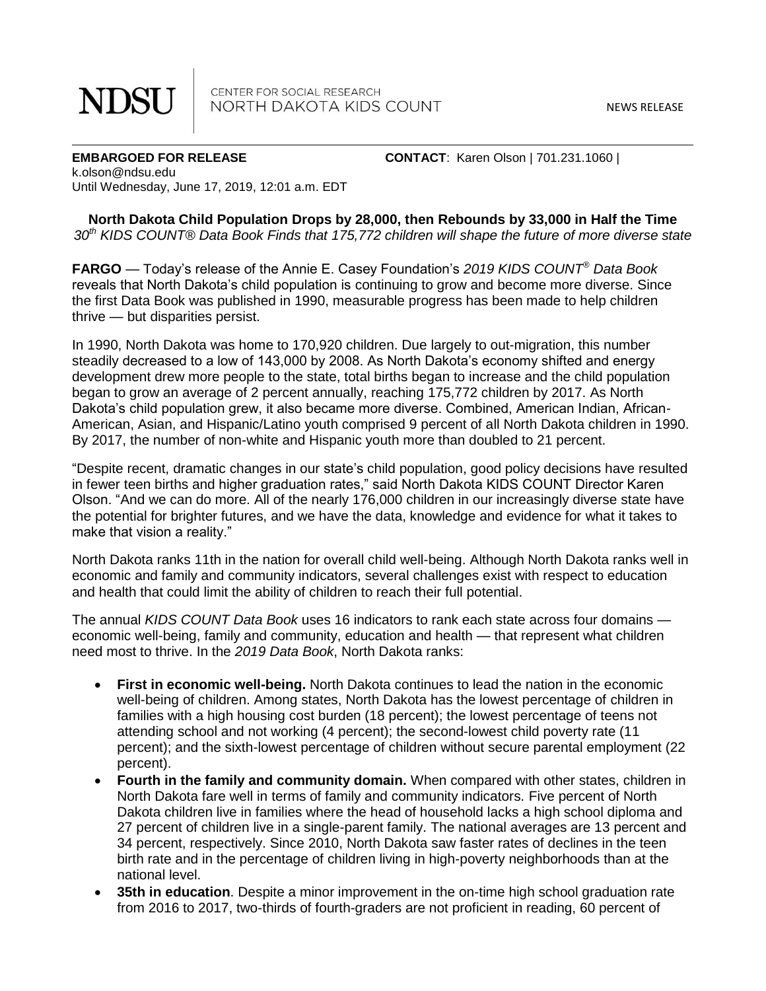**NDSU** 

CENTER FOR SOCIAL RESEARCH NORTH DAKOTA KIDS COUNT

NEWS RELEASE

**EMBARGOED FOR RELEASE CONTACT**: Karen Olson | 701.231.1060 | k.olson@ndsu.edu Until Wednesday, June 17, 2019, 12:01 a.m. EDT

**North Dakota Child Population Drops by 28,000, then Rebounds by 33,000 in Half the Time** *30th KIDS COUNT® Data Book Finds that 175,772 children will shape the future of more diverse state*

**FARGO** — Today's release of the Annie E. Casey Foundation's *2019 KIDS COUNT® Data Book* reveals that North Dakota's child population is continuing to grow and become more diverse. Since the first Data Book was published in 1990, measurable progress has been made to help children thrive — but disparities persist.

In 1990, North Dakota was home to 170,920 children. Due largely to out-migration, this number steadily decreased to a low of 143,000 by 2008. As North Dakota's economy shifted and energy development drew more people to the state, total births began to increase and the child population began to grow an average of 2 percent annually, reaching 175,772 children by 2017. As North Dakota's child population grew, it also became more diverse. Combined, American Indian, African-American, Asian, and Hispanic/Latino youth comprised 9 percent of all North Dakota children in 1990. By 2017, the number of non-white and Hispanic youth more than doubled to 21 percent.

"Despite recent, dramatic changes in our state's child population, good policy decisions have resulted in fewer teen births and higher graduation rates," said North Dakota KIDS COUNT Director Karen Olson. "And we can do more. All of the nearly 176,000 children in our increasingly diverse state have the potential for brighter futures, and we have the data, knowledge and evidence for what it takes to make that vision a reality."

North Dakota ranks 11th in the nation for overall child well-being. Although North Dakota ranks well in economic and family and community indicators, several challenges exist with respect to education and health that could limit the ability of children to reach their full potential.

The annual *KIDS COUNT Data Book* uses 16 indicators to rank each state across four domains economic well-being, family and community, education and health — that represent what children need most to thrive. In the *2019 Data Book*, North Dakota ranks:

- **First in economic well-being.** North Dakota continues to lead the nation in the economic well-being of children. Among states, North Dakota has the lowest percentage of children in families with a high housing cost burden (18 percent); the lowest percentage of teens not attending school and not working (4 percent); the second-lowest child poverty rate (11 percent); and the sixth-lowest percentage of children without secure parental employment (22 percent).
- **Fourth in the family and community domain.** When compared with other states, children in North Dakota fare well in terms of family and community indicators. Five percent of North Dakota children live in families where the head of household lacks a high school diploma and 27 percent of children live in a single-parent family. The national averages are 13 percent and 34 percent, respectively. Since 2010, North Dakota saw faster rates of declines in the teen birth rate and in the percentage of children living in high-poverty neighborhoods than at the national level.
- **35th in education**. Despite a minor improvement in the on-time high school graduation rate from 2016 to 2017, two-thirds of fourth-graders are not proficient in reading, 60 percent of